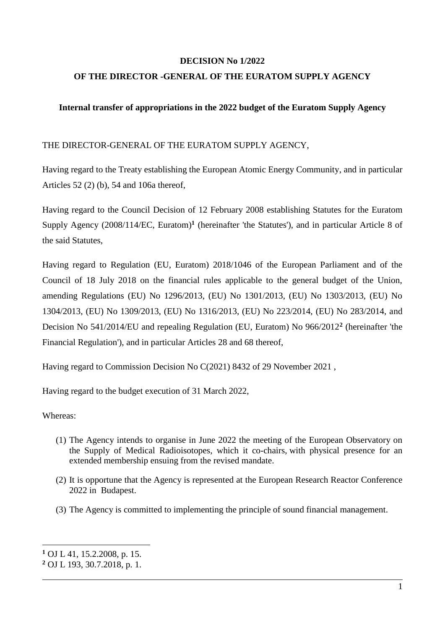#### **DECISION No 1/2022**

#### **OF THE DIRECTOR -GENERAL OF THE EURATOM SUPPLY AGENCY**

#### **Internal transfer of appropriations in the 2022 budget of the Euratom Supply Agency**

#### THE DIRECTOR-GENERAL OF THE EURATOM SUPPLY AGENCY,

Having regard to the Treaty establishing the European Atomic Energy Community, and in particular Articles 52 (2) (b), 54 and 106a thereof,

Having regard to the Council Decision of 12 February 2008 establishing Statutes for the Euratom Supply Agency (2008/114/EC, Euratom)**<sup>1</sup>** (hereinafter 'the Statutes'), and in particular Article 8 of the said Statutes,

Having regard to Regulation (EU, Euratom) 2018/1046 of the European Parliament and of the Council of 18 July 2018 on the financial rules applicable to the general budget of the Union, amending Regulations (EU) No 1296/2013, (EU) No 1301/2013, (EU) No 1303/2013, (EU) No 1304/2013, (EU) No 1309/2013, (EU) No 1316/2013, (EU) No 223/2014, (EU) No 283/2014, and Decision No 541/2014/EU and repealing Regulation (EU, Euratom) No 966/2012**<sup>2</sup>** (hereinafter 'the Financial Regulation'), and in particular Articles 28 and 68 thereof,

Having regard to Commission Decision No C(2021) 8432 of 29 November 2021 ,

Having regard to the budget execution of 31 March 2022,

#### Whereas:

1

- (1) The Agency intends to organise in June 2022 the meeting of the European Observatory on the Supply of Medical Radioisotopes, which it co-chairs, with physical presence for an extended membership ensuing from the revised mandate.
- (2) It is opportune that the Agency is represented at the European Research Reactor Conference 2022 in Budapest.
- (3) The Agency is committed to implementing the principle of sound financial management.

**<sup>1</sup>** OJ L 41, 15.2.2008, p. 15.

**<sup>2</sup>** OJ L 193, 30.7.2018, p. 1.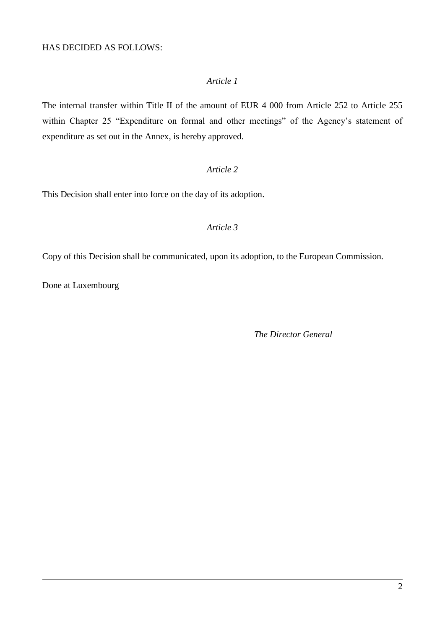#### HAS DECIDED AS FOLLOWS:

#### *Article 1*

The internal transfer within Title II of the amount of EUR 4 000 from Article 252 to Article 255 within Chapter 25 "Expenditure on formal and other meetings" of the Agency's statement of expenditure as set out in the Annex, is hereby approved.

#### *Article 2*

This Decision shall enter into force on the day of its adoption.

#### *Article 3*

Copy of this Decision shall be communicated, upon its adoption, to the European Commission.

Done at Luxembourg

*The Director General*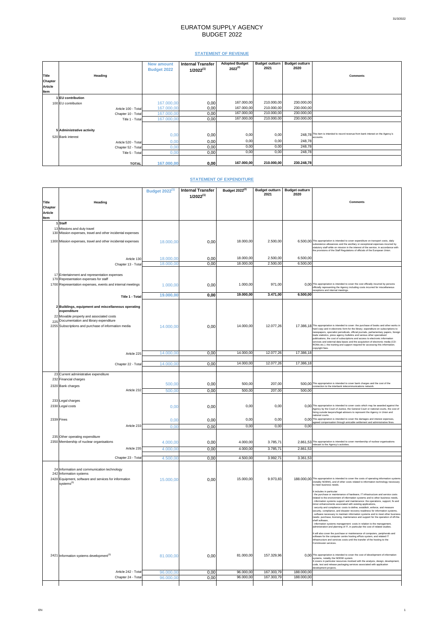# EURATOM SUPPLY AGENCY BUDGET 2022

 $\mathbb{R}$ 

### **STATEMENT OF REVENUE**

|                |                           | <b>New amount</b><br><b>Budget 2022</b> | <b>Internal Transfer</b><br>$1/2022^{(1)}$ | <b>Adopted Budget</b><br>$2022^{(2)}$ | <b>Budget outturn</b><br>2021 | <b>Budget outturn</b><br>2020 |                                                                                               |
|----------------|---------------------------|-----------------------------------------|--------------------------------------------|---------------------------------------|-------------------------------|-------------------------------|-----------------------------------------------------------------------------------------------|
| Title          | <b>Heading</b>            |                                         |                                            |                                       |                               |                               | <b>Comments</b>                                                                               |
| <b>Chapter</b> |                           |                                         |                                            |                                       |                               |                               |                                                                                               |
| <b>Article</b> |                           |                                         |                                            |                                       |                               |                               |                                                                                               |
| Item           |                           |                                         |                                            |                                       |                               |                               |                                                                                               |
|                | 1 EU contribution         |                                         |                                            |                                       |                               |                               |                                                                                               |
|                | 100 EU contribution       | 167.000,00                              | 0,00                                       | 167.000,00                            | 210.000,00                    | 230.000,00                    |                                                                                               |
|                | Article 100 - Total       | 167.000,00                              | 0,00                                       | 167.000,00                            | 210.000,00                    | 230.000,00                    |                                                                                               |
|                | Chapter 10 - Total        | 167.000,00                              | 0,00                                       | 167.000,00                            | 210.000,00                    | 230.000,00                    |                                                                                               |
|                | Title 1 - Total           | 167.000,00                              | 0,00                                       | 167.000,00                            | 210.000,00                    | 230.000,00                    |                                                                                               |
|                |                           |                                         |                                            |                                       |                               |                               |                                                                                               |
|                | 5 Administrative activity |                                         |                                            |                                       |                               |                               |                                                                                               |
|                | 520 Bank interest         | 0,00                                    | 0,00                                       | 0,00                                  | 0,00                          |                               | 248,78 This item is intended to record revenue from bank interest on the Agency's<br>accounts |
|                | Article 520 - Total       | 0,00                                    | 0,00                                       | 0,00                                  | 0,00                          | 248,78                        |                                                                                               |
|                | Chapter 52 - Total        | 0,00                                    | 0,00                                       | 0,00                                  | 0,00                          | 248,78                        |                                                                                               |
|                | Title 5 - Total           | 0,00                                    | 0,00                                       | 0,00                                  | 0,00                          | 248,78                        |                                                                                               |
|                |                           |                                         |                                            |                                       |                               |                               |                                                                                               |
|                | <b>TOTAL</b>              | 167.000,00                              | 0,00                                       | 167.000,00                            | 210.000,00                    | 230.248,78                    |                                                                                               |

## **STATEMENT OF EXPENDITURE**

|                |                                                                                           | <b>Budget 2022(1)</b> | <b>Internal Transfer</b><br>$1/2022^{(1)}$ | Budget $2022^{(2)}$ | <b>Budget outturn</b><br>2021 | <b>Budget outturn</b><br>2020 |                                                                                                                                                                                                                                                                                                                                              |
|----------------|-------------------------------------------------------------------------------------------|-----------------------|--------------------------------------------|---------------------|-------------------------------|-------------------------------|----------------------------------------------------------------------------------------------------------------------------------------------------------------------------------------------------------------------------------------------------------------------------------------------------------------------------------------------|
| <b>Title</b>   | <b>Heading</b>                                                                            |                       |                                            |                     |                               |                               | <b>Comments</b>                                                                                                                                                                                                                                                                                                                              |
| <b>Chapter</b> |                                                                                           |                       |                                            |                     |                               |                               |                                                                                                                                                                                                                                                                                                                                              |
| <b>Article</b> |                                                                                           |                       |                                            |                     |                               |                               |                                                                                                                                                                                                                                                                                                                                              |
| Item           |                                                                                           |                       |                                            |                     |                               |                               |                                                                                                                                                                                                                                                                                                                                              |
|                | 1 Staff                                                                                   |                       |                                            |                     |                               |                               |                                                                                                                                                                                                                                                                                                                                              |
|                | 13 Missions and duty travel<br>130 Mission expenses, travel and other incidental expenses |                       |                                            |                     |                               |                               |                                                                                                                                                                                                                                                                                                                                              |
|                | 1300 Mission expenses, travel and other incidental expenses                               | 18.000,00             | 0,00                                       | 18.000,00           | 2.500,00                      |                               | 6.500,00 This appropriation is intended to cover expenditure on transport costs, daily<br>subsistence allowances and the ancillary or exceptional expenses incurred by<br>statutory staff while on mission in the interest of the service, in accordance with<br>the provisions of the Staff Regulations of officials of the European Union. |
|                | Article 130                                                                               | 18.000,00             | 0,00                                       | 18.000,00           | 2.500,00                      | 6.500,00                      |                                                                                                                                                                                                                                                                                                                                              |
|                | Chapter 13 - Total                                                                        | 18.000,00             | 0,00                                       | 18.000,00           | 2.500,00                      | 6.500,00                      |                                                                                                                                                                                                                                                                                                                                              |
|                |                                                                                           |                       |                                            |                     |                               |                               |                                                                                                                                                                                                                                                                                                                                              |

|  | 17 Entertainment and representation expenses<br>170 Representation expenses for staff                                                         |                        |           |      |           |            |            |                                                                                                                                                                                                                                                                                                                                                                                                                                                                                                                                                                                                                                                                                                                                                                                                                                                                                                                                                                                                   |
|--|-----------------------------------------------------------------------------------------------------------------------------------------------|------------------------|-----------|------|-----------|------------|------------|---------------------------------------------------------------------------------------------------------------------------------------------------------------------------------------------------------------------------------------------------------------------------------------------------------------------------------------------------------------------------------------------------------------------------------------------------------------------------------------------------------------------------------------------------------------------------------------------------------------------------------------------------------------------------------------------------------------------------------------------------------------------------------------------------------------------------------------------------------------------------------------------------------------------------------------------------------------------------------------------------|
|  | 1700 Representation expenses, events and internal meetings                                                                                    |                        | 1.000,00  | 0,00 | 1.000,00  | 971,00     |            | 0.00 This appropriation is intended to cover the cost officially incurred by persons<br>officially representing the Agency including costs incurred for miscellaneous<br>receptions and internal meetings.                                                                                                                                                                                                                                                                                                                                                                                                                                                                                                                                                                                                                                                                                                                                                                                        |
|  |                                                                                                                                               | <b>Title 1 - Total</b> | 19.000,00 | 0,00 | 19.000,00 | 3.471,00   | 6.500,00   |                                                                                                                                                                                                                                                                                                                                                                                                                                                                                                                                                                                                                                                                                                                                                                                                                                                                                                                                                                                                   |
|  | 2 Buildings, equipment and miscellaneous operating<br>expenditure                                                                             |                        |           |      |           |            |            |                                                                                                                                                                                                                                                                                                                                                                                                                                                                                                                                                                                                                                                                                                                                                                                                                                                                                                                                                                                                   |
|  | 22 Movable property and associated costs<br>225 Documentation and library expenditure<br>2255 Subscriptions and purchase of information media |                        | 14.000,00 | 0,00 | 14.000,00 | 12.077,26  |            | 17.386,18 This appropriation is intended to cover: the purchase of books and other works in<br>hard copy and in electronic form for the library; expenditure on subscriptions to<br>newspapers, specialist periodicals, official journals, parliamentary papers, foreign<br>trade statistics, press agency bulletins and various other specialised<br>publications; the cost of subscriptions and access to electronic information<br>services and external data bases and the acquisition of electronic media (CD-<br>ROMs etc.); the training and support required for accessing this information;<br>copyright fees.                                                                                                                                                                                                                                                                                                                                                                           |
|  |                                                                                                                                               | Article 225            | 14.000,00 | 0,00 | 14.000,00 | 12.077,26  | 17.386,18  |                                                                                                                                                                                                                                                                                                                                                                                                                                                                                                                                                                                                                                                                                                                                                                                                                                                                                                                                                                                                   |
|  |                                                                                                                                               | Chapter 22 - Total     | 14.000,00 | 0,00 | 14.000,00 | 12.077,26  | 17.386,18  |                                                                                                                                                                                                                                                                                                                                                                                                                                                                                                                                                                                                                                                                                                                                                                                                                                                                                                                                                                                                   |
|  | 23 Current administrative expenditure                                                                                                         |                        |           |      |           |            |            |                                                                                                                                                                                                                                                                                                                                                                                                                                                                                                                                                                                                                                                                                                                                                                                                                                                                                                                                                                                                   |
|  | 232 Financial charges                                                                                                                         |                        | 500,00    | 0,00 | 500,00    | 207,00     |            | 500,00 This appropriation is intended to cover bank charges and the cost of the                                                                                                                                                                                                                                                                                                                                                                                                                                                                                                                                                                                                                                                                                                                                                                                                                                                                                                                   |
|  | 2320 Bank charges                                                                                                                             | Article 232            | 500,00    | 0,00 | 500,00    | 207,00     | 500,00     | connection to the interbank telecommunications network.                                                                                                                                                                                                                                                                                                                                                                                                                                                                                                                                                                                                                                                                                                                                                                                                                                                                                                                                           |
|  | 233 Legal charges                                                                                                                             |                        |           |      |           |            |            |                                                                                                                                                                                                                                                                                                                                                                                                                                                                                                                                                                                                                                                                                                                                                                                                                                                                                                                                                                                                   |
|  | 2330 Legal costs                                                                                                                              |                        | 0,00      | 0,00 | 0,00      | 0,00       |            | 0,00 This appropriation is intended to cover costs which may be awarded against the<br>Agency by the Court of Justice, the General Court or national courts, the cost of<br>hiring outside lawyers/legal advisers to represent the Agency in Union and<br>national courts.                                                                                                                                                                                                                                                                                                                                                                                                                                                                                                                                                                                                                                                                                                                        |
|  | $2339$ Fines                                                                                                                                  |                        | 0,00      | 0,00 | 0,00      | 0,00       |            | 0.00 This appropriation is intended to cover the damages and interest expenses,<br>agreed compensation through amicable settlement and administrative fines.                                                                                                                                                                                                                                                                                                                                                                                                                                                                                                                                                                                                                                                                                                                                                                                                                                      |
|  |                                                                                                                                               | Article 233            | 0,00      | 0,00 | 0,00      | 0,00       | 0,00       |                                                                                                                                                                                                                                                                                                                                                                                                                                                                                                                                                                                                                                                                                                                                                                                                                                                                                                                                                                                                   |
|  | 235 Other operating expenditure                                                                                                               |                        |           |      |           |            |            |                                                                                                                                                                                                                                                                                                                                                                                                                                                                                                                                                                                                                                                                                                                                                                                                                                                                                                                                                                                                   |
|  | 2350 Membership of nuclear organisations                                                                                                      |                        | 4.000,00  | 0,00 | 4.000,00  | 3.785,71   |            | 2.861,53 This appropriation is intended to cover membership of nuclear organisations<br>relevant to the Agency's activities.                                                                                                                                                                                                                                                                                                                                                                                                                                                                                                                                                                                                                                                                                                                                                                                                                                                                      |
|  |                                                                                                                                               | Article 235            | 4.000,00  | 0,00 | 4.000,00  | 3.785,71   | 2.861,53   |                                                                                                                                                                                                                                                                                                                                                                                                                                                                                                                                                                                                                                                                                                                                                                                                                                                                                                                                                                                                   |
|  |                                                                                                                                               | Chapter 23 - Total     | 4.500,00  | 0,00 | 4.500,00  | 3.992,71   | 3.361,53   |                                                                                                                                                                                                                                                                                                                                                                                                                                                                                                                                                                                                                                                                                                                                                                                                                                                                                                                                                                                                   |
|  | 24 Information and communication technology<br>242 Information systems                                                                        |                        |           |      |           |            |            |                                                                                                                                                                                                                                                                                                                                                                                                                                                                                                                                                                                                                                                                                                                                                                                                                                                                                                                                                                                                   |
|  | 2420 Equipment, software and services for information<br>systems <sup>(3)</sup>                                                               |                        | 15.000,00 | 0,00 | 15.000,00 | 9.973,83   |            | 188.000,00 This appropriation is intended to cover the costs of operating information systems<br>(notably NOEMI), and of other costs related to information technology necessary<br>to meet business needs.<br>It includes in particular:                                                                                                                                                                                                                                                                                                                                                                                                                                                                                                                                                                                                                                                                                                                                                         |
|  |                                                                                                                                               |                        |           |      |           |            |            | - the purchase or maintenance of hardware, IT infrastructure and service costs<br>related to the environment of information systems and to other business needs,<br>- information systems support and maintenance: the operations, support, fix and<br>minor enhancements associated with existing applications,<br>- security and compliance: costs to define, establish, enforce, and measure<br>security, compliance, and disaster recovery readiness for information systems,<br>- software necessary to maintain information systems and to meet other business<br>needs: purchase, licensing, maintenance and support for the operation of off-the-<br>shelf software,<br>- information systems management: costs in relation to the management,<br>administration and planning of IT, in particular the cost of related studies.<br>It will also cover the purchase or maintenance of computers, peripherals and<br>software for the computer centre hosting ePluto system, and related IT |
|  | $2421$ Information systems development <sup>(3)</sup>                                                                                         |                        | 81.000,00 | 0,00 | 81.000,00 | 157.329,96 |            | infrastructure and services costs until the transfer of the hosting to the<br>Commission services.<br>0.00 This appropriation is intended to cover the cost of idevelopment of information<br>systems, notably the NOEMI system.<br>It covers in particular resources involved with the analysis, design, development,<br>code, test and release packaging services associated with application                                                                                                                                                                                                                                                                                                                                                                                                                                                                                                                                                                                                   |
|  |                                                                                                                                               | Article 242 - Total    | 96.000,00 | 0,00 | 96.000,00 | 167.303,79 | 188.000,00 | development projects.                                                                                                                                                                                                                                                                                                                                                                                                                                                                                                                                                                                                                                                                                                                                                                                                                                                                                                                                                                             |
|  |                                                                                                                                               | Chapter 24 - Total     | 96.000,00 | 0,00 | 96.000,00 | 167.303,79 | 188.000,00 |                                                                                                                                                                                                                                                                                                                                                                                                                                                                                                                                                                                                                                                                                                                                                                                                                                                                                                                                                                                                   |
|  |                                                                                                                                               |                        |           |      |           |            |            |                                                                                                                                                                                                                                                                                                                                                                                                                                                                                                                                                                                                                                                                                                                                                                                                                                                                                                                                                                                                   |